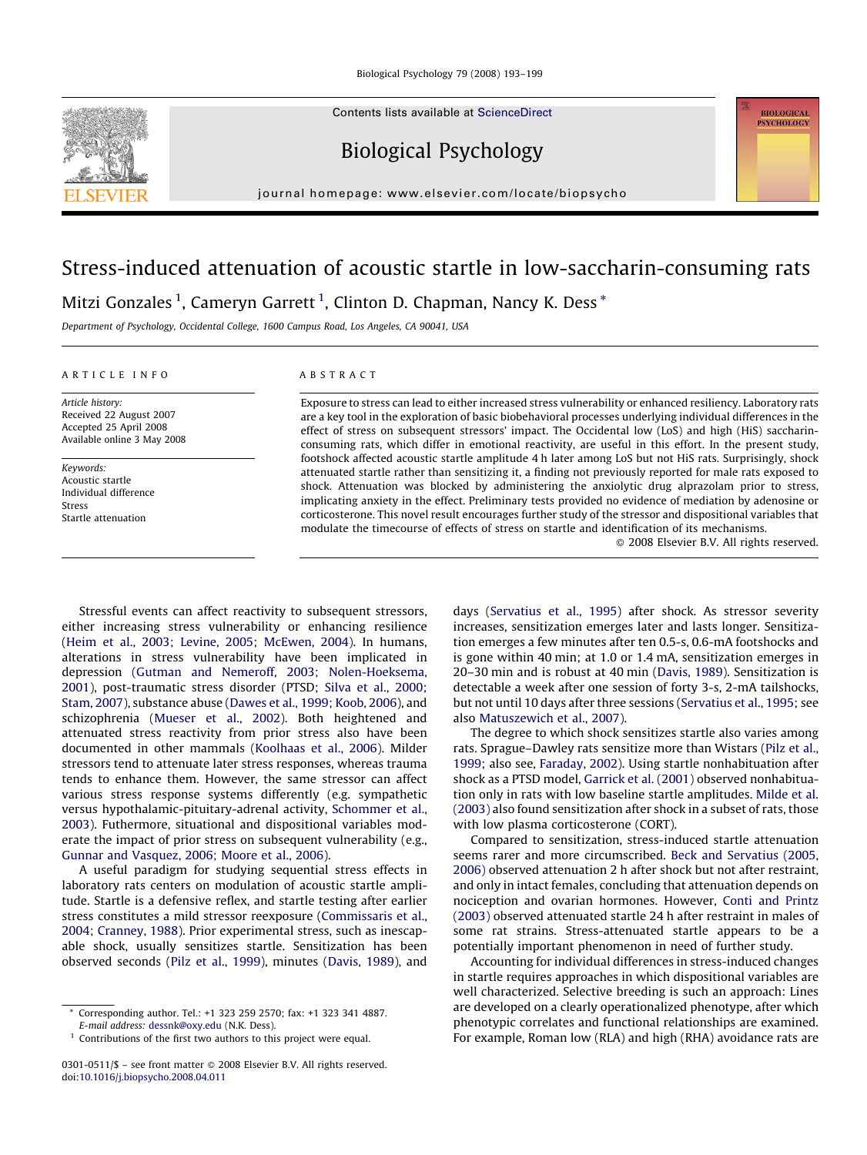Contents lists available at [ScienceDirect](http://www.sciencedirect.com/science/journal/03010511)

Biological Psychology

journal homepage: www.elsevier.com/locate/biopsycho

# Stress-induced attenuation of acoustic startle in low-saccharin-consuming rats Mitzi Gonzales  $^1$ , Cameryn Garrett  $^1$ , Clinton D. Chapman, Nancy K. Dess  $^\ast$

Department of Psychology, Occidental College, 1600 Campus Road, Los Angeles, CA 90041, USA

#### ARTICLE INFO

Article history: Received 22 August 2007 Accepted 25 April 2008 Available online 3 May 2008

Keywords: Acoustic startle Individual difference Stress Startle attenuation

#### ABSTRACT

Exposure to stress can lead to either increased stress vulnerability or enhanced resiliency. Laboratory rats are a key tool in the exploration of basic biobehavioral processes underlying individual differences in the effect of stress on subsequent stressors' impact. The Occidental low (LoS) and high (HiS) saccharinconsuming rats, which differ in emotional reactivity, are useful in this effort. In the present study, footshock affected acoustic startle amplitude 4 h later among LoS but not HiS rats. Surprisingly, shock attenuated startle rather than sensitizing it, a finding not previously reported for male rats exposed to shock. Attenuation was blocked by administering the anxiolytic drug alprazolam prior to stress, implicating anxiety in the effect. Preliminary tests provided no evidence of mediation by adenosine or corticosterone. This novel result encourages further study of the stressor and dispositional variables that modulate the timecourse of effects of stress on startle and identification of its mechanisms.

 $\odot$  2008 Elsevier B.V. All rights reserved.

**BIOLOGICAL PEVELIOLOCY** 

Stressful events can affect reactivity to subsequent stressors, either increasing stress vulnerability or enhancing resilience ([Heim et al., 2003; Levine, 2005; McEwen, 2004\)](#page--1-0). In humans, alterations in stress vulnerability have been implicated in depression ([Gutman and Nemeroff, 2003; Nolen-Hoeksema,](#page--1-0) [2001\)](#page--1-0), post-traumatic stress disorder (PTSD; [Silva et al., 2000;](#page--1-0) [Stam, 2007\)](#page--1-0), substance abuse ([Dawes et al., 1999; Koob, 2006\)](#page--1-0), and schizophrenia [\(Mueser et al., 2002\)](#page--1-0). Both heightened and attenuated stress reactivity from prior stress also have been documented in other mammals [\(Koolhaas et al., 2006](#page--1-0)). Milder stressors tend to attenuate later stress responses, whereas trauma tends to enhance them. However, the same stressor can affect various stress response systems differently (e.g. sympathetic versus hypothalamic-pituitary-adrenal activity, [Schommer et al.,](#page--1-0) [2003\)](#page--1-0). Futhermore, situational and dispositional variables moderate the impact of prior stress on subsequent vulnerability (e.g., [Gunnar and Vasquez, 2006; Moore et al., 2006](#page--1-0)).

A useful paradigm for studying sequential stress effects in laboratory rats centers on modulation of acoustic startle amplitude. Startle is a defensive reflex, and startle testing after earlier stress constitutes a mild stressor reexposure [\(Commissaris et al.,](#page--1-0) [2004; Cranney, 1988](#page--1-0)). Prior experimental stress, such as inescapable shock, usually sensitizes startle. Sensitization has been observed seconds [\(Pilz et al., 1999](#page--1-0)), minutes [\(Davis, 1989\)](#page--1-0), and

days ([Servatius et al., 1995](#page--1-0)) after shock. As stressor severity increases, sensitization emerges later and lasts longer. Sensitization emerges a few minutes after ten 0.5-s, 0.6-mA footshocks and is gone within 40 min; at 1.0 or 1.4 mA, sensitization emerges in 20–30 min and is robust at 40 min ([Davis, 1989\)](#page--1-0). Sensitization is detectable a week after one session of forty 3-s, 2-mA tailshocks, but not until 10 days after three sessions [\(Servatius et al., 1995;](#page--1-0) see also [Matuszewich et al., 2007\)](#page--1-0).

The degree to which shock sensitizes startle also varies among rats. Sprague–Dawley rats sensitize more than Wistars [\(Pilz et al.,](#page--1-0) [1999;](#page--1-0) also see, [Faraday, 2002](#page--1-0)). Using startle nonhabituation after shock as a PTSD model, [Garrick et al. \(2001\)](#page--1-0) observed nonhabituation only in rats with low baseline startle amplitudes. [Milde et al.](#page--1-0) [\(2003\)](#page--1-0) also found sensitization after shock in a subset of rats, those with low plasma corticosterone (CORT).

Compared to sensitization, stress-induced startle attenuation seems rarer and more circumscribed. [Beck and Servatius \(2005,](#page--1-0) [2006\)](#page--1-0) observed attenuation 2 h after shock but not after restraint, and only in intact females, concluding that attenuation depends on nociception and ovarian hormones. However, [Conti and Printz](#page--1-0) [\(2003\)](#page--1-0) observed attenuated startle 24 h after restraint in males of some rat strains. Stress-attenuated startle appears to be a potentially important phenomenon in need of further study.

Accounting for individual differences in stress-induced changes in startle requires approaches in which dispositional variables are well characterized. Selective breeding is such an approach: Lines are developed on a clearly operationalized phenotype, after which phenotypic correlates and functional relationships are examined. For example, Roman low (RLA) and high (RHA) avoidance rats are



<sup>\*</sup> Corresponding author. Tel.: +1 323 259 2570; fax: +1 323 341 4887. E-mail address: [dessnk@oxy.edu](mailto:dessnk@oxy.edu) (N.K. Dess).

<sup>&</sup>lt;sup>1</sup> Contributions of the first two authors to this project were equal.

<sup>0301-0511/\$ –</sup> see front matter © 2008 Elsevier B.V. All rights reserved. doi:[10.1016/j.biopsycho.2008.04.011](http://dx.doi.org/10.1016/j.biopsycho.2008.04.011)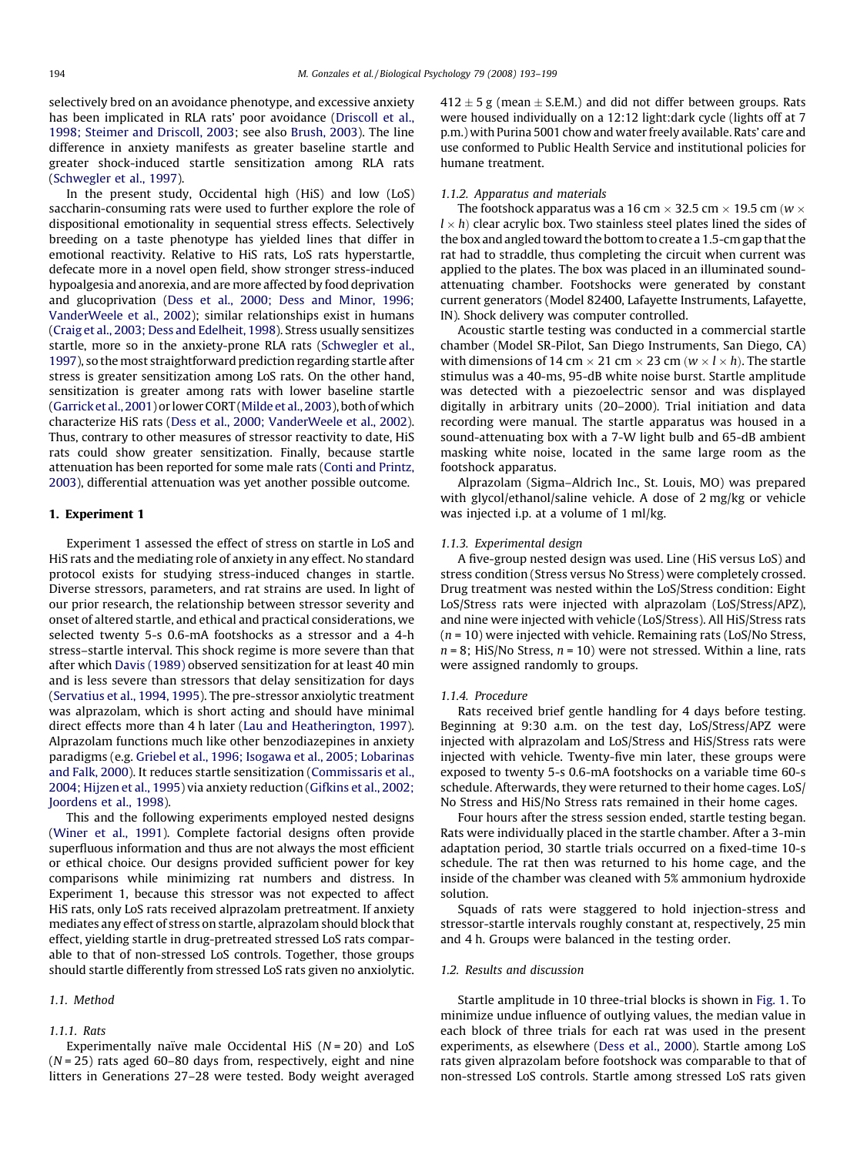selectively bred on an avoidance phenotype, and excessive anxiety has been implicated in RLA rats' poor avoidance ([Driscoll et al.,](#page--1-0) [1998; Steimer and Driscoll, 2003](#page--1-0); see also [Brush, 2003\)](#page--1-0). The line difference in anxiety manifests as greater baseline startle and greater shock-induced startle sensitization among RLA rats ([Schwegler et al., 1997\)](#page--1-0).

In the present study, Occidental high (HiS) and low (LoS) saccharin-consuming rats were used to further explore the role of dispositional emotionality in sequential stress effects. Selectively breeding on a taste phenotype has yielded lines that differ in emotional reactivity. Relative to HiS rats, LoS rats hyperstartle, defecate more in a novel open field, show stronger stress-induced hypoalgesia and anorexia, and are more affected by food deprivation and glucoprivation [\(Dess et al., 2000; Dess and Minor, 1996;](#page--1-0) [VanderWeele et al., 2002](#page--1-0)); similar relationships exist in humans ([Craig et al., 2003; Dess and Edelheit, 1998\)](#page--1-0). Stress usually sensitizes startle, more so in the anxiety-prone RLA rats [\(Schwegler et al.,](#page--1-0) [1997\)](#page--1-0), so the most straightforward prediction regarding startle after stress is greater sensitization among LoS rats. On the other hand, sensitization is greater among rats with lower baseline startle ([Garrick et al., 2001\)](#page--1-0) or lower CORT ([Milde et al., 2003](#page--1-0)), both of which characterize HiS rats [\(Dess et al., 2000; VanderWeele et al., 2002\)](#page--1-0). Thus, contrary to other measures of stressor reactivity to date, HiS rats could show greater sensitization. Finally, because startle attenuation has been reported for some male rats ([Conti and Printz,](#page--1-0) [2003\)](#page--1-0), differential attenuation was yet another possible outcome.

## 1. Experiment 1

Experiment 1 assessed the effect of stress on startle in LoS and HiS rats and the mediating role of anxiety in any effect. No standard protocol exists for studying stress-induced changes in startle. Diverse stressors, parameters, and rat strains are used. In light of our prior research, the relationship between stressor severity and onset of altered startle, and ethical and practical considerations, we selected twenty 5-s 0.6-mA footshocks as a stressor and a 4-h stress–startle interval. This shock regime is more severe than that after which [Davis \(1989\)](#page--1-0) observed sensitization for at least 40 min and is less severe than stressors that delay sensitization for days ([Servatius et al., 1994, 1995](#page--1-0)). The pre-stressor anxiolytic treatment was alprazolam, which is short acting and should have minimal direct effects more than 4 h later [\(Lau and Heatherington, 1997\)](#page--1-0). Alprazolam functions much like other benzodiazepines in anxiety paradigms (e.g. [Griebel et al., 1996; Isogawa et al., 2005; Lobarinas](#page--1-0) [and Falk, 2000](#page--1-0)). It reduces startle sensitization [\(Commissaris et al.,](#page--1-0) [2004; Hijzen et al., 1995](#page--1-0)) via anxiety reduction ([Gifkins et al., 2002;](#page--1-0) [Joordens et al., 1998\)](#page--1-0).

This and the following experiments employed nested designs ([Winer et al., 1991\)](#page--1-0). Complete factorial designs often provide superfluous information and thus are not always the most efficient or ethical choice. Our designs provided sufficient power for key comparisons while minimizing rat numbers and distress. In Experiment 1, because this stressor was not expected to affect HiS rats, only LoS rats received alprazolam pretreatment. If anxiety mediates any effect of stress on startle, alprazolam should block that effect, yielding startle in drug-pretreated stressed LoS rats comparable to that of non-stressed LoS controls. Together, those groups should startle differently from stressed LoS rats given no anxiolytic.

## 1.1. Method

#### 1.1.1. Rats

Experimentally naïve male Occidental HiS ( $N = 20$ ) and LoS  $(N = 25)$  rats aged 60–80 days from, respectively, eight and nine litters in Generations 27–28 were tested. Body weight averaged

412  $\pm$  5 g (mean  $\pm$  S.E.M.) and did not differ between groups. Rats were housed individually on a 12:12 light:dark cycle (lights off at 7 p.m.) with Purina 5001 chow and water freely available. Rats' care and use conformed to Public Health Service and institutional policies for humane treatment.

#### 1.1.2. Apparatus and materials

The footshock apparatus was a 16 cm  $\times$  32.5 cm  $\times$  19.5 cm (w  $\times$  $l \times h$ ) clear acrylic box. Two stainless steel plates lined the sides of the box and angled toward the bottom to create a 1.5-cm gap that the rat had to straddle, thus completing the circuit when current was applied to the plates. The box was placed in an illuminated soundattenuating chamber. Footshocks were generated by constant current generators (Model 82400, Lafayette Instruments, Lafayette, IN). Shock delivery was computer controlled.

Acoustic startle testing was conducted in a commercial startle chamber (Model SR-Pilot, San Diego Instruments, San Diego, CA) with dimensions of 14 cm  $\times$  21 cm  $\times$  23 cm ( $w \times l \times h$ ). The startle stimulus was a 40-ms, 95-dB white noise burst. Startle amplitude was detected with a piezoelectric sensor and was displayed digitally in arbitrary units (20–2000). Trial initiation and data recording were manual. The startle apparatus was housed in a sound-attenuating box with a 7-W light bulb and 65-dB ambient masking white noise, located in the same large room as the footshock apparatus.

Alprazolam (Sigma–Aldrich Inc., St. Louis, MO) was prepared with glycol/ethanol/saline vehicle. A dose of 2 mg/kg or vehicle was injected i.p. at a volume of 1 ml/kg.

#### 1.1.3. Experimental design

A five-group nested design was used. Line (HiS versus LoS) and stress condition (Stress versus No Stress) were completely crossed. Drug treatment was nested within the LoS/Stress condition: Eight LoS/Stress rats were injected with alprazolam (LoS/Stress/APZ), and nine were injected with vehicle (LoS/Stress). All HiS/Stress rats  $(n = 10)$  were injected with vehicle. Remaining rats (LoS/No Stress,  $n = 8$ ; HiS/No Stress,  $n = 10$ ) were not stressed. Within a line, rats were assigned randomly to groups.

### 1.1.4. Procedure

Rats received brief gentle handling for 4 days before testing. Beginning at 9:30 a.m. on the test day, LoS/Stress/APZ were injected with alprazolam and LoS/Stress and HiS/Stress rats were injected with vehicle. Twenty-five min later, these groups were exposed to twenty 5-s 0.6-mA footshocks on a variable time 60-s schedule. Afterwards, they were returned to their home cages. LoS/ No Stress and HiS/No Stress rats remained in their home cages.

Four hours after the stress session ended, startle testing began. Rats were individually placed in the startle chamber. After a 3-min adaptation period, 30 startle trials occurred on a fixed-time 10-s schedule. The rat then was returned to his home cage, and the inside of the chamber was cleaned with 5% ammonium hydroxide solution.

Squads of rats were staggered to hold injection-stress and stressor-startle intervals roughly constant at, respectively, 25 min and 4 h. Groups were balanced in the testing order.

#### 1.2. Results and discussion

Startle amplitude in 10 three-trial blocks is shown in [Fig. 1](#page--1-0). To minimize undue influence of outlying values, the median value in each block of three trials for each rat was used in the present experiments, as elsewhere [\(Dess et al., 2000](#page--1-0)). Startle among LoS rats given alprazolam before footshock was comparable to that of non-stressed LoS controls. Startle among stressed LoS rats given